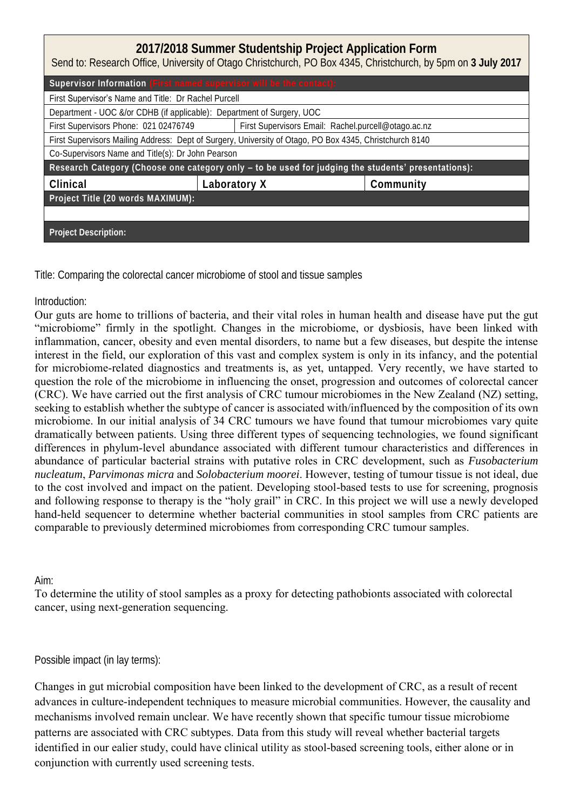| 2017/2018 Summer Studentship Project Application Form<br>Send to: Research Office, University of Otago Christchurch, PO Box 4345, Christchurch, by 5pm on 3 July 2017 |                                                     |           |  |  |
|-----------------------------------------------------------------------------------------------------------------------------------------------------------------------|-----------------------------------------------------|-----------|--|--|
| Supervisor Information (First named supervisor will be the contact):                                                                                                  |                                                     |           |  |  |
| First Supervisor's Name and Title: Dr Rachel Purcell                                                                                                                  |                                                     |           |  |  |
| Department - UOC &/or CDHB (if applicable): Department of Surgery, UOC                                                                                                |                                                     |           |  |  |
| First Supervisors Phone: 021 02476749                                                                                                                                 | First Supervisors Email: Rachel.purcell@otago.ac.nz |           |  |  |
| First Supervisors Mailing Address: Dept of Surgery, University of Otago, PO Box 4345, Christchurch 8140                                                               |                                                     |           |  |  |
| Co-Supervisors Name and Title(s): Dr John Pearson                                                                                                                     |                                                     |           |  |  |
| Research Category (Choose one category only - to be used for judging the students' presentations):                                                                    |                                                     |           |  |  |
| Clinical                                                                                                                                                              | Laboratory X                                        | Community |  |  |
| Project Title (20 words MAXIMUM):                                                                                                                                     |                                                     |           |  |  |
|                                                                                                                                                                       |                                                     |           |  |  |
| Project Description:                                                                                                                                                  |                                                     |           |  |  |

Title: Comparing the colorectal cancer microbiome of stool and tissue samples

## Introduction:

Our guts are home to trillions of bacteria, and their vital roles in human health and disease have put the gut "microbiome" firmly in the spotlight. Changes in the microbiome, or dysbiosis, have been linked with inflammation, cancer, obesity and even mental disorders, to name but a few diseases, but despite the intense interest in the field, our exploration of this vast and complex system is only in its infancy, and the potential for microbiome-related diagnostics and treatments is, as yet, untapped. Very recently, we have started to question the role of the microbiome in influencing the onset, progression and outcomes of colorectal cancer (CRC). We have carried out the first analysis of CRC tumour microbiomes in the New Zealand (NZ) setting, seeking to establish whether the subtype of cancer is associated with/influenced by the composition of its own microbiome. In our initial analysis of 34 CRC tumours we have found that tumour microbiomes vary quite dramatically between patients. Using three different types of sequencing technologies, we found significant differences in phylum-level abundance associated with different tumour characteristics and differences in abundance of particular bacterial strains with putative roles in CRC development, such as *Fusobacterium nucleatum*, *Parvimonas micra* and *Solobacterium moorei*. However, testing of tumour tissue is not ideal, due to the cost involved and impact on the patient. Developing stool-based tests to use for screening, prognosis and following response to therapy is the "holy grail" in CRC. In this project we will use a newly developed hand-held sequencer to determine whether bacterial communities in stool samples from CRC patients are comparable to previously determined microbiomes from corresponding CRC tumour samples.

## Aim:

To determine the utility of stool samples as a proxy for detecting pathobionts associated with colorectal cancer, using next-generation sequencing.

## Possible impact (in lay terms):

Changes in gut microbial composition have been linked to the development of CRC, as a result of recent advances in culture-independent techniques to measure microbial communities. However, the causality and mechanisms involved remain unclear. We have recently shown that specific tumour tissue microbiome patterns are associated with CRC subtypes. Data from this study will reveal whether bacterial targets identified in our ealier study, could have clinical utility as stool-based screening tools, either alone or in conjunction with currently used screening tests.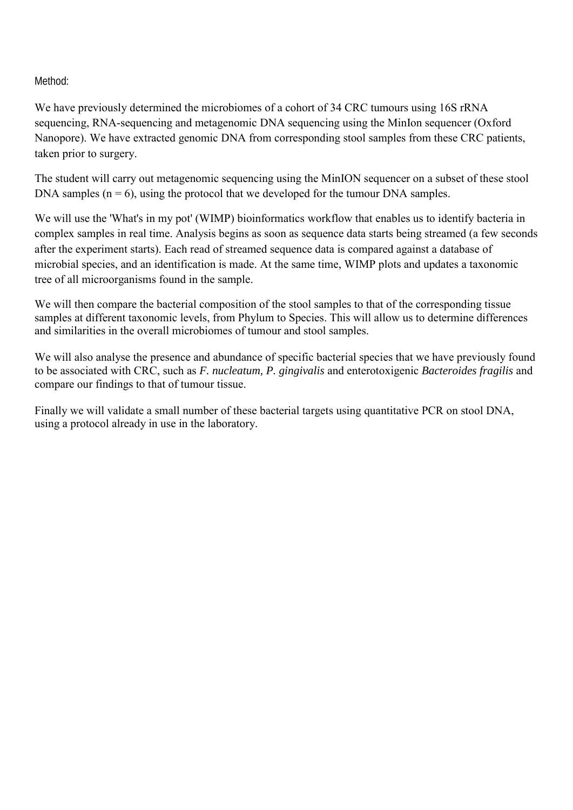Method:

We have previously determined the microbiomes of a cohort of 34 CRC tumours using 16S rRNA sequencing, RNA-sequencing and metagenomic DNA sequencing using the MinIon sequencer (Oxford Nanopore). We have extracted genomic DNA from corresponding stool samples from these CRC patients, taken prior to surgery.

The student will carry out metagenomic sequencing using the MinION sequencer on a subset of these stool DNA samples  $(n = 6)$ , using the protocol that we developed for the tumour DNA samples.

We will use the 'What's in my pot' (WIMP) bioinformatics workflow that enables us to identify bacteria in complex samples in real time. Analysis begins as soon as sequence data starts being streamed (a few seconds after the experiment starts). Each read of streamed sequence data is compared against a database of microbial species, and an identification is made. At the same time, WIMP plots and updates a taxonomic tree of all microorganisms found in the sample.

We will then compare the bacterial composition of the stool samples to that of the corresponding tissue samples at different taxonomic levels, from Phylum to Species. This will allow us to determine differences and similarities in the overall microbiomes of tumour and stool samples.

We will also analyse the presence and abundance of specific bacterial species that we have previously found to be associated with CRC, such as *F. nucleatum, P. gingivalis* and enterotoxigenic *Bacteroides fragilis* and compare our findings to that of tumour tissue.

Finally we will validate a small number of these bacterial targets using quantitative PCR on stool DNA, using a protocol already in use in the laboratory.